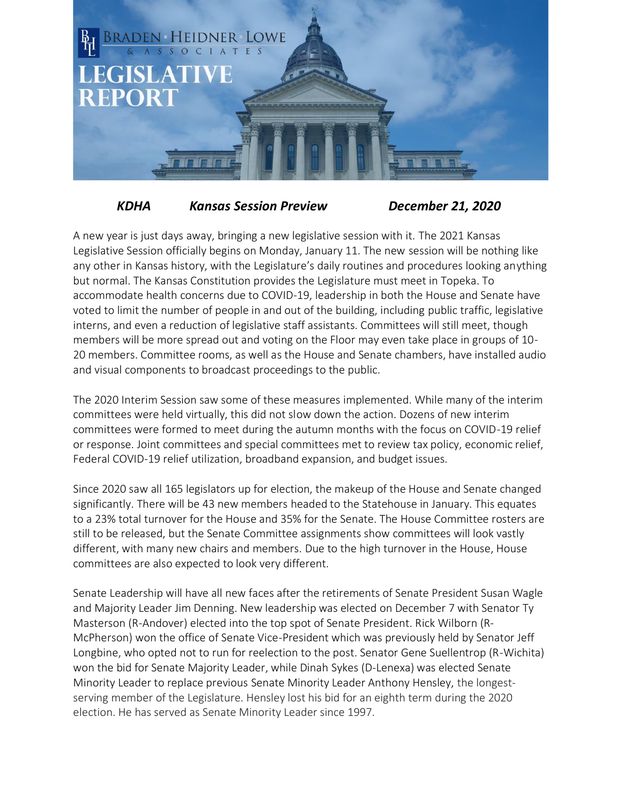

## *KDHA Kansas Session Preview December 21, 2020*

A new year is just days away, bringing a new legislative session with it. The 2021 Kansas Legislative Session officially begins on Monday, January 11. The new session will be nothing like any other in Kansas history, with the Legislature's daily routines and procedures looking anything but normal. The Kansas Constitution provides the Legislature must meet in Topeka. To accommodate health concerns due to COVID-19, leadership in both the House and Senate have voted to limit the number of people in and out of the building, including public traffic, legislative interns, and even a reduction of legislative staff assistants. Committees will still meet, though members will be more spread out and voting on the Floor may even take place in groups of 10- 20 members. Committee rooms, as well as the House and Senate chambers, have installed audio and visual components to broadcast proceedings to the public.

The 2020 Interim Session saw some of these measures implemented. While many of the interim committees were held virtually, this did not slow down the action. Dozens of new interim committees were formed to meet during the autumn months with the focus on COVID-19 relief or response. Joint committees and special committees met to review tax policy, economic relief, Federal COVID-19 relief utilization, broadband expansion, and budget issues.

Since 2020 saw all 165 legislators up for election, the makeup of the House and Senate changed significantly. There will be 43 new members headed to the Statehouse in January. This equates to a 23% total turnover for the House and 35% for the Senate. The House Committee rosters are still to be released, but the Senate Committee assignments show committees will look vastly different, with many new chairs and members. Due to the high turnover in the House, House committees are also expected to look very different.

Senate Leadership will have all new faces after the retirements of Senate President Susan Wagle and Majority Leader Jim Denning. New leadership was elected on December 7 with Senator Ty Masterson (R-Andover) elected into the top spot of Senate President. Rick Wilborn (R-McPherson) won the office of Senate Vice-President which was previously held by Senator Jeff Longbine, who opted not to run for reelection to the post. Senator Gene Suellentrop (R-Wichita) won the bid for Senate Majority Leader, while Dinah Sykes (D-Lenexa) was elected Senate Minority Leader to replace previous Senate Minority Leader Anthony Hensley, the longestserving member of the Legislature. Hensley lost his bid for an eighth term during the 2020 election. He has served as Senate Minority Leader since 1997.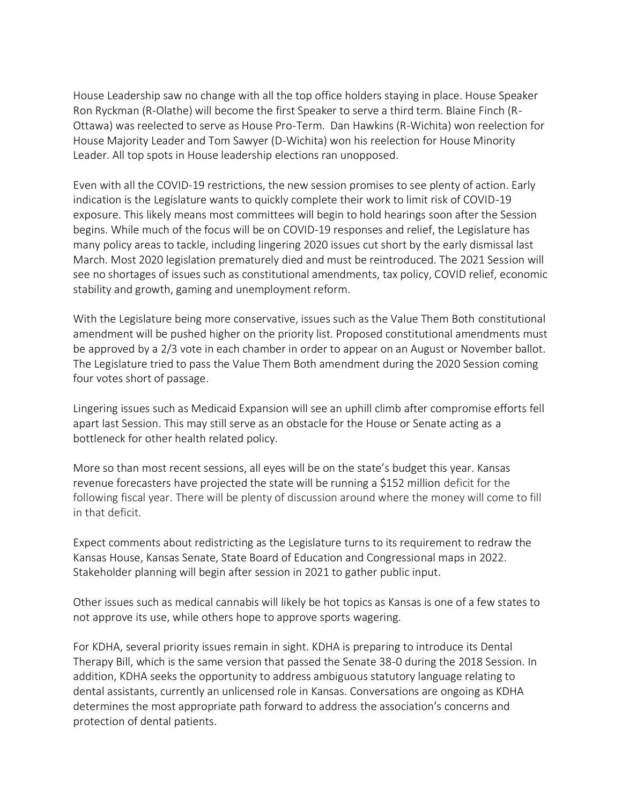House Leadership saw no change with all the top office holders staying in place. House Speaker Ron Ryckman (R-Olathe) will become the first Speaker to serve a third term. Blaine Finch (R-Ottawa) was reelected to serve as House Pro-Term. Dan Hawkins (R-Wichita) won reelection for House Majority Leader and Tom Sawyer (D-Wichita) won his reelection for House Minority Leader. All top spots in House leadership elections ran unopposed.

Even with all the COVID-19 restrictions, the new session promises to see plenty of action. Early indication is the Legislature wants to quickly complete their work to limit risk of COVID-19 exposure. This likely means most committees will begin to hold hearings soon after the Session begins. While much of the focus will be on COVID-19 responses and relief, the Legislature has many policy areas to tackle, including lingering 2020 issues cut short by the early dismissal last March. Most 2020 legislation prematurely died and must be reintroduced. The 2021 Session will see no shortages of issues such as constitutional amendments, tax policy, COVID relief, economic stability and growth, gaming and unemployment reform.

With the Legislature being more conservative, issues such as the Value Them Both constitutional amendment will be pushed higher on the priority list. Proposed constitutional amendments must be approved by a 2/3 vote in each chamber in order to appear on an August or November ballot. The Legislature tried to pass the Value Them Both amendment during the 2020 Session coming four votes short of passage.

Lingering issues such as Medicaid Expansion will see an uphill climb after compromise efforts fell apart last Session. This may still serve as an obstacle for the House or Senate acting as a bottleneck for other health related policy.

More so than most recent sessions, all eyes will be on the state's budget this year. Kansas revenue forecasters have projected the state will be running a \$152 million deficit for the following fiscal year. There will be plenty of discussion around where the money will come to fill in that deficit.

Expect comments about redistricting as the Legislature turns to its requirement to redraw the Kansas House, Kansas Senate, State Board of Education and Congressional maps in 2022. Stakeholder planning will begin after session in 2021 to gather public input.

Other issues such as medical cannabis will likely be hot topics as Kansas is one of a few states to not approve its use, while others hope to approve sports wagering.

For KDHA, several priority issues remain in sight. KDHA is preparing to introduce its Dental Therapy Bill, which is the same version that passed the Senate 38-0 during the 2018 Session. In addition, KDHA seeks the opportunity to address ambiguous statutory language relating to dental assistants, currently an unlicensed role in Kansas. Conversations are ongoing as KDHA determines the most appropriate path forward to address the association's concerns and protection of dental patients.